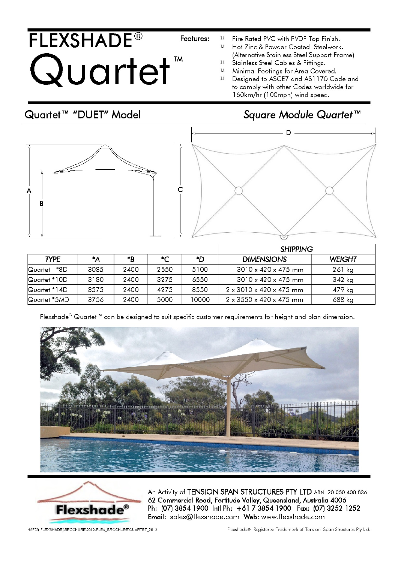## **FLEXSHADE<sup>®</sup>** Quartet

Fire Rated PVC with PVDF Top Finish.  $\bowtie$ 

- $\overline{\mathfrak{a}}$ Hot Zinc & Powder Coated Steelwork. (Alternative Stainless Steel Support Frame)
- $\bowtie$ Stainless Steel Cables & Fittings.
- $\bowtie$ Minimal Footings for Area Covered.
- $\bowtie$ Designed to ASCE7 and AS1170 Code and to comply with other Codes worldwide for 160km/hr (100mph) wind speed.

## Quartet™ "DUET" Model

## Square Module Quartet™



|                |        |      |               |       | <b>SHIPPING</b>                          |               |  |  |
|----------------|--------|------|---------------|-------|------------------------------------------|---------------|--|--|
| <b>TYPE</b>    | $^*$ A | *B   | $\mathcal{C}$ | ת*    | <b>DIMENSIONS</b>                        | <b>WEIGHT</b> |  |  |
| *8D<br>Quartet | 3085   | 2400 | 2550          | 5100  | $3010 \times 420 \times 475$ mm          | $261$ kg      |  |  |
| Quartet *10D   | 3180   | 2400 | 3275          | 6550  | $3010 \times 420 \times 475$ mm          | 342 kg        |  |  |
| Quartet *14D   | 3575   | 2400 | 4275          | 8550  | $2 \times 3010 \times 420 \times 475$ mm | 479 kg        |  |  |
| Quartet *5MD   | 3756   | 2400 | 5000          | 10000 | $2 \times 3550 \times 420 \times 475$ mm | 688 kg        |  |  |

Features:

Flexshade® Quartet™ can be designed to suit specific customer requirements for height and plan dimension.





An Activity of TENSION SPAN STRUCTURES PTY LTD ABN 20 050 400 836 62 Commercial Road, Fortitude Valley, Queensland, Australia 4006 Ph: (07) 3854 1900 Intl Ph: +61 7 3854 1900 Fax: (07) 3252 1252 Email: sales@flexshade.com Web: www.flexshade.com